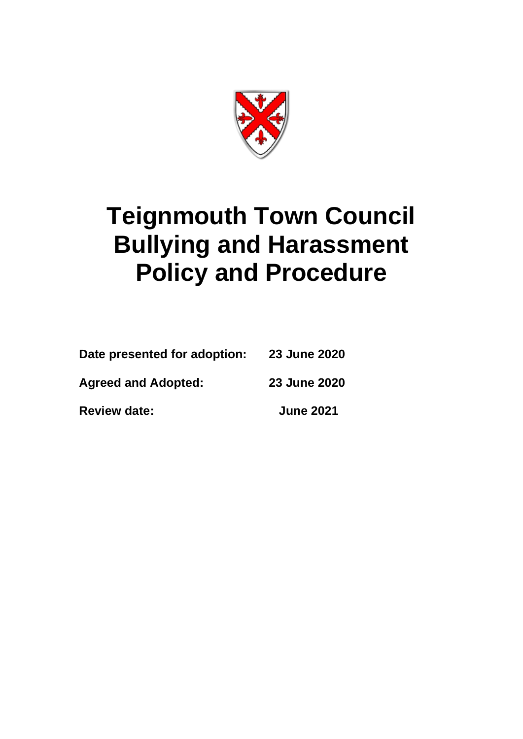

# **Teignmouth Town Council Bullying and Harassment Policy and Procedure**

| <b>Review date:</b>          | <b>June 2021</b> |
|------------------------------|------------------|
| <b>Agreed and Adopted:</b>   | 23 June 2020     |
| Date presented for adoption: | 23 June 2020     |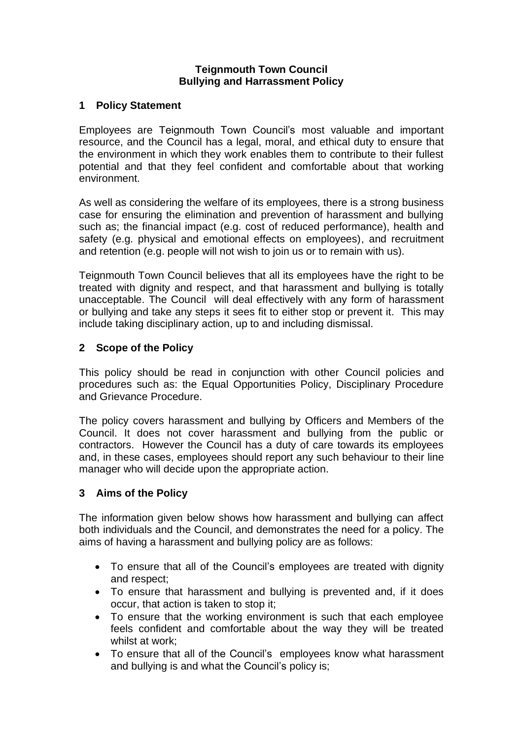#### **Teignmouth Town Council Bullying and Harrassment Policy**

#### **1 Policy Statement**

Employees are Teignmouth Town Council's most valuable and important resource, and the Council has a legal, moral, and ethical duty to ensure that the environment in which they work enables them to contribute to their fullest potential and that they feel confident and comfortable about that working environment.

As well as considering the welfare of its employees, there is a strong business case for ensuring the elimination and prevention of harassment and bullying such as; the financial impact (e.g. cost of reduced performance), health and safety (e.g. physical and emotional effects on employees), and recruitment and retention (e.g. people will not wish to join us or to remain with us).

Teignmouth Town Council believes that all its employees have the right to be treated with dignity and respect, and that harassment and bullying is totally unacceptable. The Council will deal effectively with any form of harassment or bullying and take any steps it sees fit to either stop or prevent it. This may include taking disciplinary action, up to and including dismissal.

#### **2 Scope of the Policy**

This policy should be read in conjunction with other Council policies and procedures such as: the Equal Opportunities Policy, Disciplinary Procedure and Grievance Procedure.

The policy covers harassment and bullying by Officers and Members of the Council. It does not cover harassment and bullying from the public or contractors. However the Council has a duty of care towards its employees and, in these cases, employees should report any such behaviour to their line manager who will decide upon the appropriate action.

## **3 Aims of the Policy**

The information given below shows how harassment and bullying can affect both individuals and the Council, and demonstrates the need for a policy. The aims of having a harassment and bullying policy are as follows:

- To ensure that all of the Council's employees are treated with dignity and respect;
- To ensure that harassment and bullying is prevented and, if it does occur, that action is taken to stop it;
- To ensure that the working environment is such that each employee feels confident and comfortable about the way they will be treated whilst at work;
- To ensure that all of the Council's employees know what harassment and bullying is and what the Council's policy is;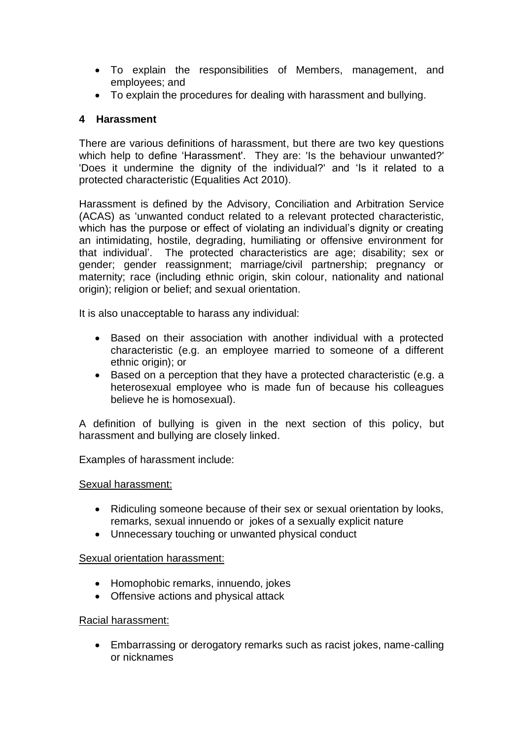- To explain the responsibilities of Members, management, and employees; and
- To explain the procedures for dealing with harassment and bullying.

## **4 Harassment**

There are various definitions of harassment, but there are two key questions which help to define 'Harassment'. They are: 'Is the behaviour unwanted?' 'Does it undermine the dignity of the individual?' and 'Is it related to a protected characteristic (Equalities Act 2010).

Harassment is defined by the Advisory, Conciliation and Arbitration Service (ACAS) as 'unwanted conduct related to a relevant protected characteristic, which has the purpose or effect of violating an individual's dignity or creating an intimidating, hostile, degrading, humiliating or offensive environment for that individual'. The protected characteristics are age; disability; sex or gender; gender reassignment; marriage/civil partnership; pregnancy or maternity; race (including ethnic origin, skin colour, nationality and national origin); religion or belief; and sexual orientation.

It is also unacceptable to harass any individual:

- Based on their association with another individual with a protected characteristic (e.g. an employee married to someone of a different ethnic origin); or
- Based on a perception that they have a protected characteristic (e.g. a heterosexual employee who is made fun of because his colleagues believe he is homosexual).

A definition of bullying is given in the next section of this policy, but harassment and bullying are closely linked.

Examples of harassment include:

## Sexual harassment:

- Ridiculing someone because of their sex or sexual orientation by looks, remarks, sexual innuendo or jokes of a sexually explicit nature
- Unnecessary touching or unwanted physical conduct

## Sexual orientation harassment:

- Homophobic remarks, innuendo, jokes
- Offensive actions and physical attack

## Racial harassment:

• Embarrassing or derogatory remarks such as racist jokes, name-calling or nicknames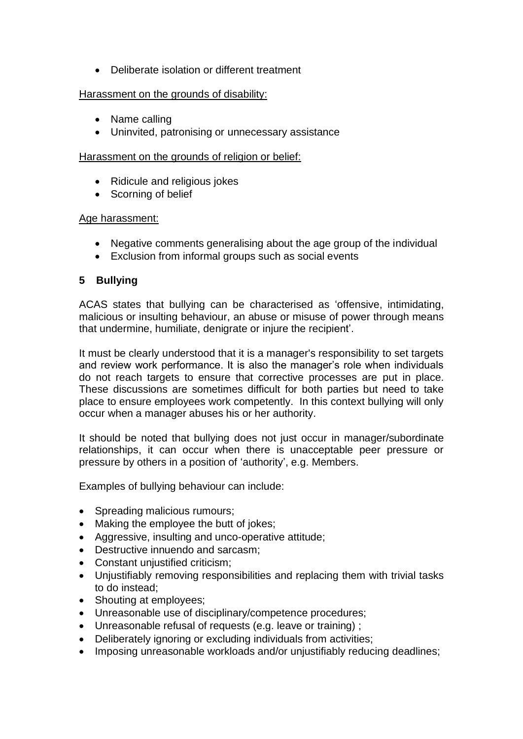• Deliberate isolation or different treatment

#### Harassment on the grounds of disability:

- Name calling
- Uninvited, patronising or unnecessary assistance

### Harassment on the grounds of religion or belief:

- Ridicule and religious jokes
- Scorning of belief

#### Age harassment:

- Negative comments generalising about the age group of the individual
- Exclusion from informal groups such as social events

#### **5 Bullying**

ACAS states that bullying can be characterised as 'offensive, intimidating, malicious or insulting behaviour, an abuse or misuse of power through means that undermine, humiliate, denigrate or injure the recipient'.

It must be clearly understood that it is a manager's responsibility to set targets and review work performance. It is also the manager's role when individuals do not reach targets to ensure that corrective processes are put in place. These discussions are sometimes difficult for both parties but need to take place to ensure employees work competently. In this context bullying will only occur when a manager abuses his or her authority.

It should be noted that bullying does not just occur in manager/subordinate relationships, it can occur when there is unacceptable peer pressure or pressure by others in a position of 'authority', e.g. Members.

Examples of bullying behaviour can include:

- Spreading malicious rumours;
- Making the employee the butt of jokes;
- Aggressive, insulting and unco-operative attitude;
- Destructive innuendo and sarcasm;
- Constant unjustified criticism;
- Unjustifiably removing responsibilities and replacing them with trivial tasks to do instead;
- Shouting at employees;
- Unreasonable use of disciplinary/competence procedures;
- Unreasonable refusal of requests (e.g. leave or training) ;
- Deliberately ignoring or excluding individuals from activities:
- Imposing unreasonable workloads and/or unjustifiably reducing deadlines;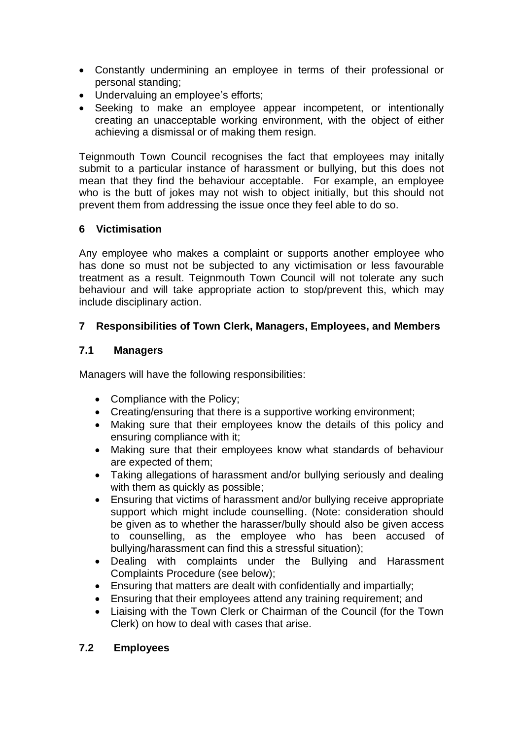- Constantly undermining an employee in terms of their professional or personal standing;
- Undervaluing an employee's efforts;
- Seeking to make an employee appear incompetent, or intentionally creating an unacceptable working environment, with the object of either achieving a dismissal or of making them resign.

Teignmouth Town Council recognises the fact that employees may initally submit to a particular instance of harassment or bullying, but this does not mean that they find the behaviour acceptable. For example, an employee who is the butt of jokes may not wish to object initially, but this should not prevent them from addressing the issue once they feel able to do so.

## **6 Victimisation**

Any employee who makes a complaint or supports another employee who has done so must not be subjected to any victimisation or less favourable treatment as a result. Teignmouth Town Council will not tolerate any such behaviour and will take appropriate action to stop/prevent this, which may include disciplinary action.

# **7 Responsibilities of Town Clerk, Managers, Employees, and Members**

## **7.1 Managers**

Managers will have the following responsibilities:

- Compliance with the Policy;
- Creating/ensuring that there is a supportive working environment;
- Making sure that their employees know the details of this policy and ensuring compliance with it;
- Making sure that their employees know what standards of behaviour are expected of them;
- Taking allegations of harassment and/or bullying seriously and dealing with them as quickly as possible;
- Ensuring that victims of harassment and/or bullying receive appropriate support which might include counselling. (Note: consideration should be given as to whether the harasser/bully should also be given access to counselling, as the employee who has been accused of bullying/harassment can find this a stressful situation);
- Dealing with complaints under the Bullying and Harassment Complaints Procedure (see below);
- Ensuring that matters are dealt with confidentially and impartially;
- Ensuring that their employees attend any training requirement; and
- Liaising with the Town Clerk or Chairman of the Council (for the Town Clerk) on how to deal with cases that arise.

# **7.2 Employees**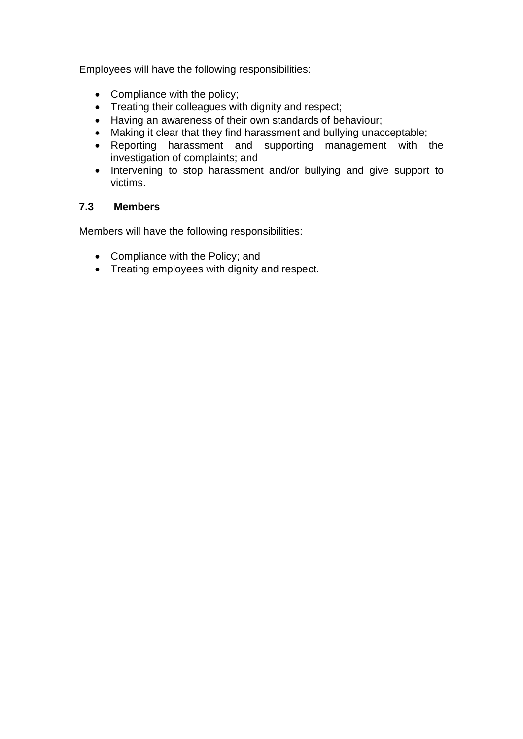Employees will have the following responsibilities:

- Compliance with the policy;
- Treating their colleagues with dignity and respect;
- Having an awareness of their own standards of behaviour;
- Making it clear that they find harassment and bullying unacceptable;
- Reporting harassment and supporting management with the investigation of complaints; and
- Intervening to stop harassment and/or bullying and give support to victims.

## **7.3 Members**

Members will have the following responsibilities:

- Compliance with the Policy; and
- Treating employees with dignity and respect.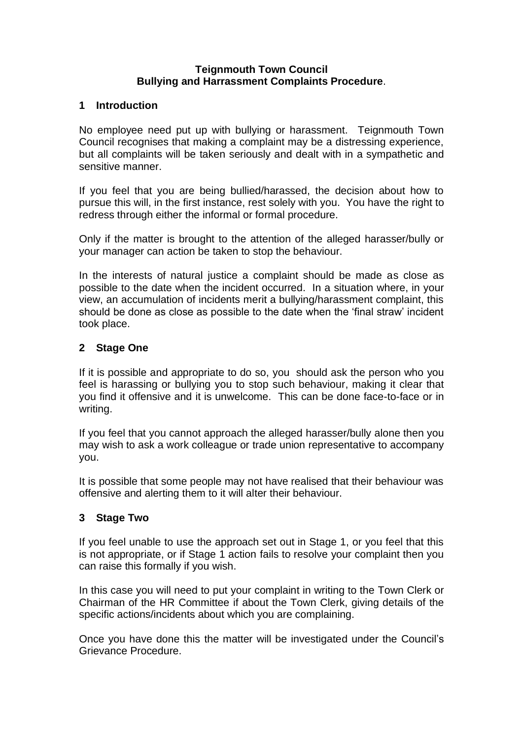#### **Teignmouth Town Council Bullying and Harrassment Complaints Procedure**.

#### **1 Introduction**

No employee need put up with bullying or harassment. Teignmouth Town Council recognises that making a complaint may be a distressing experience, but all complaints will be taken seriously and dealt with in a sympathetic and sensitive manner.

If you feel that you are being bullied/harassed, the decision about how to pursue this will, in the first instance, rest solely with you. You have the right to redress through either the informal or formal procedure.

Only if the matter is brought to the attention of the alleged harasser/bully or your manager can action be taken to stop the behaviour.

In the interests of natural justice a complaint should be made as close as possible to the date when the incident occurred. In a situation where, in your view, an accumulation of incidents merit a bullying/harassment complaint, this should be done as close as possible to the date when the 'final straw' incident took place.

#### **2 Stage One**

If it is possible and appropriate to do so, you should ask the person who you feel is harassing or bullying you to stop such behaviour, making it clear that you find it offensive and it is unwelcome. This can be done face-to-face or in writing.

If you feel that you cannot approach the alleged harasser/bully alone then you may wish to ask a work colleague or trade union representative to accompany you.

It is possible that some people may not have realised that their behaviour was offensive and alerting them to it will alter their behaviour.

#### **3 Stage Two**

If you feel unable to use the approach set out in Stage 1, or you feel that this is not appropriate, or if Stage 1 action fails to resolve your complaint then you can raise this formally if you wish.

In this case you will need to put your complaint in writing to the Town Clerk or Chairman of the HR Committee if about the Town Clerk, giving details of the specific actions/incidents about which you are complaining.

Once you have done this the matter will be investigated under the Council's Grievance Procedure.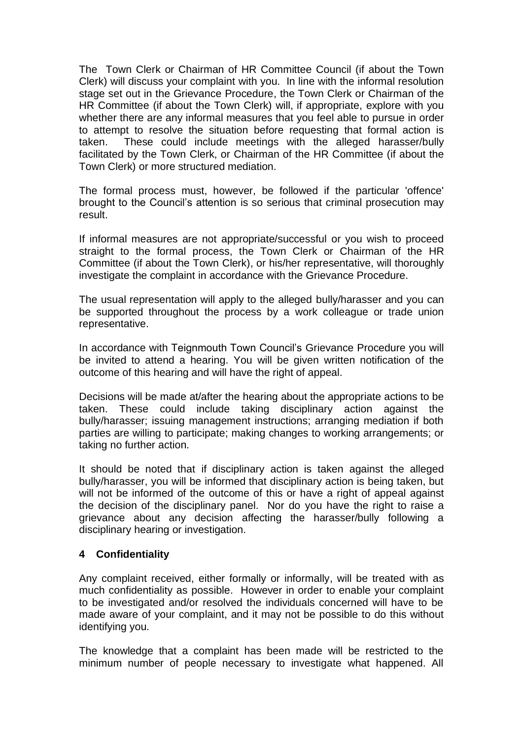The Town Clerk or Chairman of HR Committee Council (if about the Town Clerk) will discuss your complaint with you. In line with the informal resolution stage set out in the Grievance Procedure, the Town Clerk or Chairman of the HR Committee (if about the Town Clerk) will, if appropriate, explore with you whether there are any informal measures that you feel able to pursue in order to attempt to resolve the situation before requesting that formal action is taken. These could include meetings with the alleged harasser/bully facilitated by the Town Clerk, or Chairman of the HR Committee (if about the Town Clerk) or more structured mediation.

The formal process must, however, be followed if the particular 'offence' brought to the Council's attention is so serious that criminal prosecution may result.

If informal measures are not appropriate/successful or you wish to proceed straight to the formal process, the Town Clerk or Chairman of the HR Committee (if about the Town Clerk), or his/her representative, will thoroughly investigate the complaint in accordance with the Grievance Procedure.

The usual representation will apply to the alleged bully/harasser and you can be supported throughout the process by a work colleague or trade union representative.

In accordance with Teignmouth Town Council's Grievance Procedure you will be invited to attend a hearing. You will be given written notification of the outcome of this hearing and will have the right of appeal.

Decisions will be made at/after the hearing about the appropriate actions to be taken. These could include taking disciplinary action against the bully/harasser; issuing management instructions; arranging mediation if both parties are willing to participate; making changes to working arrangements; or taking no further action.

It should be noted that if disciplinary action is taken against the alleged bully/harasser, you will be informed that disciplinary action is being taken, but will not be informed of the outcome of this or have a right of appeal against the decision of the disciplinary panel. Nor do you have the right to raise a grievance about any decision affecting the harasser/bully following a disciplinary hearing or investigation.

#### **4 Confidentiality**

Any complaint received, either formally or informally, will be treated with as much confidentiality as possible. However in order to enable your complaint to be investigated and/or resolved the individuals concerned will have to be made aware of your complaint, and it may not be possible to do this without identifying you.

The knowledge that a complaint has been made will be restricted to the minimum number of people necessary to investigate what happened. All